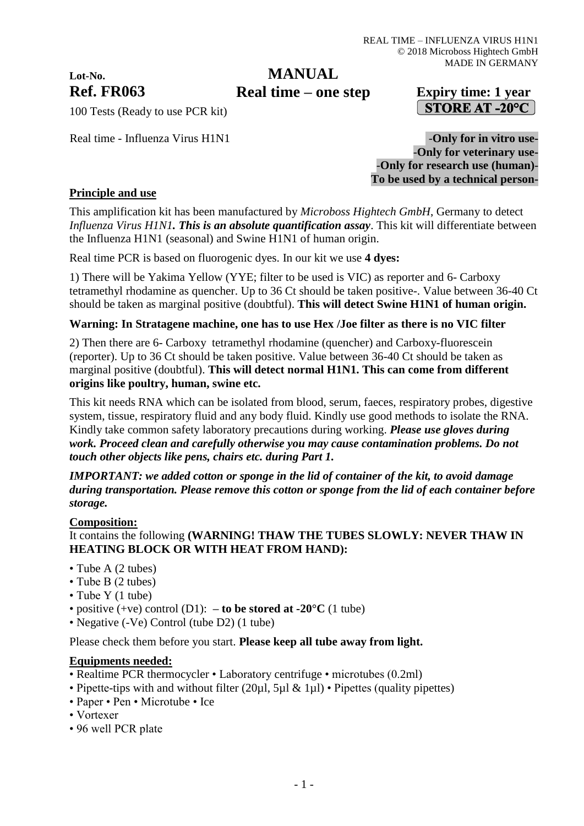# **Lot-No.**

# **MANUAL**

# **Ref. FR063 Expiry time: 1 year Real time – one step**STORE AT -20 $^{\circ}$ C

100 Tests (Ready to use PCR kit)

Real time - Influenza Virus H1N1 - Only for in vitro use-

-**Only for veterinary use-** -**Only for research use (human)**- **To be used by a technical person-**

### **Principle and use**

This amplification kit has been manufactured by *Microboss Hightech GmbH*, Germany to detect *Influenza Virus H1N1. This is an absolute quantification assay*. This kit will differentiate between the Influenza H1N1 (seasonal) and Swine H1N1 of human origin.

Real time PCR is based on fluorogenic dyes. In our kit we use **4 dyes:**

1) There will be Yakima Yellow (YYE; filter to be used is VIC) as reporter and 6- Carboxy tetramethyl rhodamine as quencher. Up to 36 Ct should be taken positive-. Value between 36-40 Ct should be taken as marginal positive (doubtful). **This will detect Swine H1N1 of human origin.**

#### **Warning: In Stratagene machine, one has to use Hex /Joe filter as there is no VIC filter**

2) Then there are 6- Carboxy tetramethyl rhodamine (quencher) and Carboxy-fluorescein (reporter). Up to 36 Ct should be taken positive. Value between 36-40 Ct should be taken as marginal positive (doubtful). **This will detect normal H1N1. This can come from different origins like poultry, human, swine etc.**

This kit needs RNA which can be isolated from blood, serum, faeces, respiratory probes, digestive system, tissue, respiratory fluid and any body fluid. Kindly use good methods to isolate the RNA. Kindly take common safety laboratory precautions during working. *Please use gloves during work. Proceed clean and carefully otherwise you may cause contamination problems. Do not touch other objects like pens, chairs etc. during Part 1.*

*IMPORTANT: we added cotton or sponge in the lid of container of the kit, to avoid damage during transportation. Please remove this cotton or sponge from the lid of each container before storage.*

#### **Composition:**

#### It contains the following **(WARNING! THAW THE TUBES SLOWLY: NEVER THAW IN HEATING BLOCK OR WITH HEAT FROM HAND):**

- Tube A (2 tubes)
- Tube B (2 tubes)
- Tube Y (1 tube)
- positive  $(+ve)$  control  $(D1)$ :  **to be stored at -20<sup>o</sup>C**  $(1$  tube)
- Negative (-Ve) Control (tube D2) (1 tube)

Please check them before you start. **Please keep all tube away from light.**

#### **Equipments needed:**

- Realtime PCR thermocycler Laboratory centrifuge microtubes (0.2ml)
- Pipette-tips with and without filter (20µl, 5µl & 1µl) Pipettes (quality pipettes)
- Paper Pen Microtube Ice
- Vortexer
- 96 well PCR plate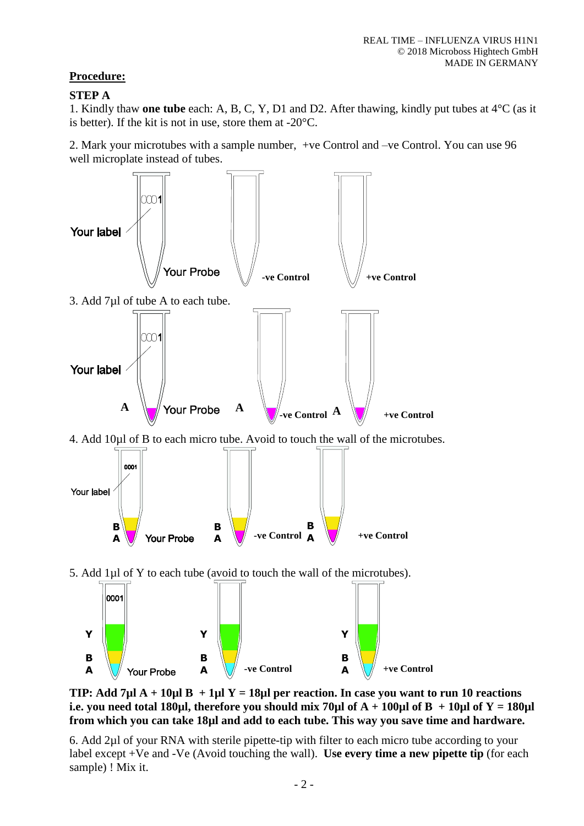# **Procedure:**

## **STEP A**

1. Kindly thaw **one tube** each: A, B, C, Y, D1 and D2. After thawing, kindly put tubes at 4°C (as it is better). If the kit is not in use, store them at -20°C.

2. Mark your microtubes with a sample number, +ve Control and –ve Control. You can use 96 well microplate instead of tubes.



**TIP: Add 7µl A + 10µl B + 1µl Y = 18µl per reaction. In case you want to run 10 reactions i.e. you need total 180µl, therefore you should mix 70µl of**  $A + 100\mu$ **l of**  $B + 10\mu$ **l of**  $Y = 180\mu$ **l from which you can take 18µl and add to each tube. This way you save time and hardware.**

6. Add 2µl of your RNA with sterile pipette-tip with filter to each micro tube according to your label except +Ve and -Ve (Avoid touching the wall). **Use every time a new pipette tip** (for each sample) ! Mix it.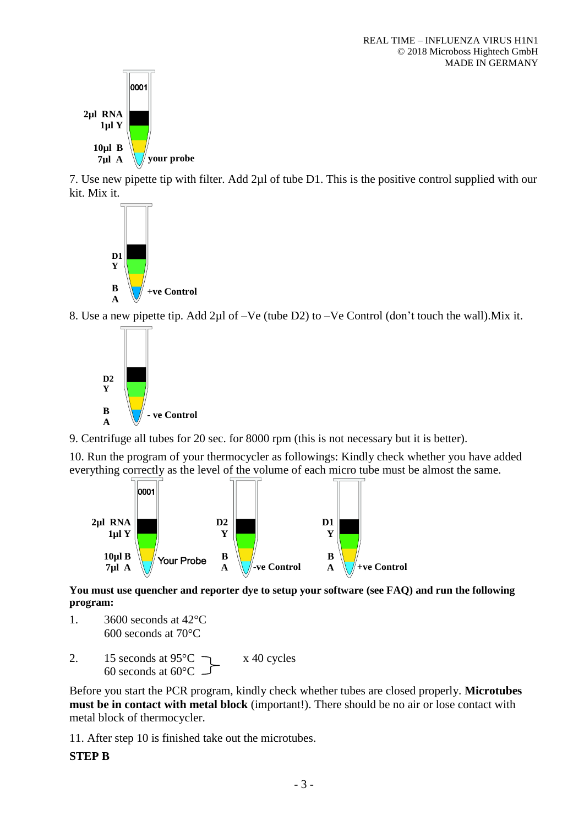

7. Use new pipette tip with filter. Add 2µl of tube D1. This is the positive control supplied with our kit. Mix it.



8. Use a new pipette tip. Add 2µl of –Ve (tube D2) to –Ve Control (don't touch the wall).Mix it.



9. Centrifuge all tubes for 20 sec. for 8000 rpm (this is not necessary but it is better).

10. Run the program of your thermocycler as followings: Kindly check whether you have added everything correctly as the level of the volume of each micro tube must be almost the same.



**You must use quencher and reporter dye to setup your software (see FAQ) and run the following program:**

- 1. 3600 seconds at 42°C 600 seconds at 70°C
- 2. 15 seconds at  $95^{\circ}$ C  $\rightarrow x$  40 cycles 60 seconds at 60°C

Before you start the PCR program, kindly check whether tubes are closed properly. **Microtubes must be in contact with metal block** (important!). There should be no air or lose contact with metal block of thermocycler.

11. After step 10 is finished take out the microtubes.

#### **STEP B**